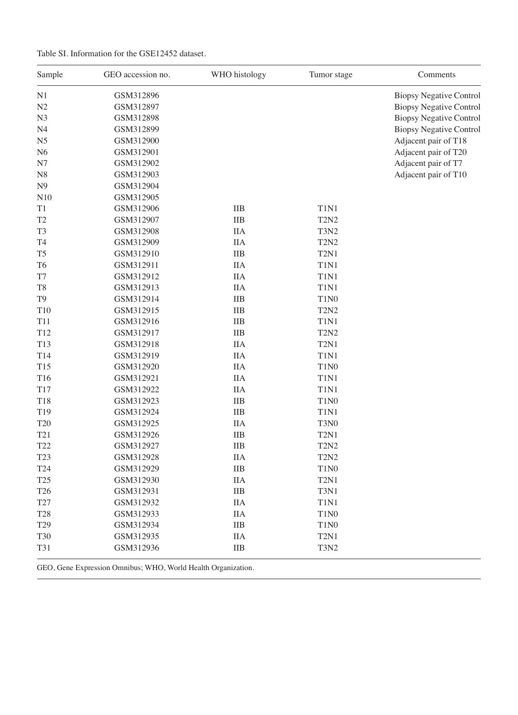| Sample              | GEO accession no. | WHO histology | Tumor stage                   | Comments                       |
|---------------------|-------------------|---------------|-------------------------------|--------------------------------|
| N <sub>1</sub>      | GSM312896         |               |                               | <b>Biopsy Negative Control</b> |
| N2                  | GSM312897         |               |                               | <b>Biopsy Negative Control</b> |
| N <sub>3</sub>      | GSM312898         |               |                               | <b>Biopsy Negative Control</b> |
| N <sub>4</sub>      | GSM312899         |               |                               | <b>Biopsy Negative Control</b> |
| N <sub>5</sub>      | GSM312900         |               |                               | Adjacent pair of T18           |
| N <sub>6</sub>      | GSM312901         |               |                               | Adjacent pair of T20           |
| N7                  | GSM312902         |               |                               | Adjacent pair of T7            |
| N <sub>8</sub>      | GSM312903         |               |                               | Adjacent pair of T10           |
| N <sub>9</sub>      | GSM312904         |               |                               |                                |
| N10                 | GSM312905         |               |                               |                                |
| T1                  | GSM312906         | <b>IIB</b>    | T1N1                          |                                |
| T <sub>2</sub>      | GSM312907         | <b>IIB</b>    | T <sub>2</sub> N <sub>2</sub> |                                |
| T <sub>3</sub>      | GSM312908         | <b>IIA</b>    | T3N2                          |                                |
| T <sub>4</sub>      | GSM312909         | <b>IIA</b>    | <b>T2N2</b>                   |                                |
| T <sub>5</sub>      | GSM312910         | <b>IIB</b>    | T <sub>2</sub> N <sub>1</sub> |                                |
| T <sub>6</sub>      | GSM312911         | <b>IIA</b>    | T1N1                          |                                |
| $\operatorname{T7}$ | GSM312912         | <b>IIA</b>    | T1N1                          |                                |
| T <sub>8</sub>      | GSM312913         | <b>IIA</b>    | T1N1                          |                                |
| T <sub>9</sub>      | GSM312914         | <b>IIB</b>    | T1N <sub>0</sub>              |                                |
| T10                 | GSM312915         | <b>IIB</b>    | <b>T2N2</b>                   |                                |
| T11                 | GSM312916         | <b>IIB</b>    | T1N1                          |                                |
| T12                 | GSM312917         | <b>IIB</b>    | <b>T2N2</b>                   |                                |
| T13                 | GSM312918         | <b>IIA</b>    | T <sub>2</sub> N <sub>1</sub> |                                |
| T14                 | GSM312919         | <b>IIA</b>    | T1N1                          |                                |
| T <sub>15</sub>     | GSM312920         | <b>IIA</b>    | T1N <sub>0</sub>              |                                |
| T16                 | GSM312921         | <b>IIA</b>    | T1N1                          |                                |
| T17                 | GSM312922         | <b>IIA</b>    | T1N1                          |                                |
| <b>T18</b>          | GSM312923         | <b>IIB</b>    | T1N <sub>0</sub>              |                                |
| T19                 | GSM312924         | <b>IIB</b>    | T1N1                          |                                |
| <b>T20</b>          | GSM312925         | <b>IIA</b>    | T3N0                          |                                |
| T21                 | GSM312926         | <b>IIB</b>    | T <sub>2</sub> N <sub>1</sub> |                                |
| T <sub>22</sub>     | GSM312927         | <b>IIB</b>    | <b>T2N2</b>                   |                                |
| T <sub>23</sub>     | GSM312928         | <b>IIA</b>    | <b>T2N2</b>                   |                                |
| T <sub>24</sub>     | GSM312929         | <b>IIB</b>    | T1N <sub>0</sub>              |                                |
| T <sub>25</sub>     | GSM312930         | <b>IIA</b>    | T <sub>2</sub> N <sub>1</sub> |                                |
| T <sub>26</sub>     | GSM312931         | <b>IIB</b>    | T3N1                          |                                |
| T27                 | GSM312932         | <b>IIA</b>    | T1N1                          |                                |
| <b>T28</b>          | GSM312933         | <b>IIA</b>    | T1N <sub>0</sub>              |                                |
| T <sub>29</sub>     | GSM312934         | <b>IIB</b>    | $T1N0$                        |                                |
| <b>T30</b>          | GSM312935         | <b>IIA</b>    | T <sub>2</sub> N <sub>1</sub> |                                |
|                     |                   |               |                               |                                |
| <b>T31</b>          | GSM312936         | IIB           | <b>T3N2</b>                   |                                |

GEO, Gene Expression Omnibus; WHO, World Health Organization.